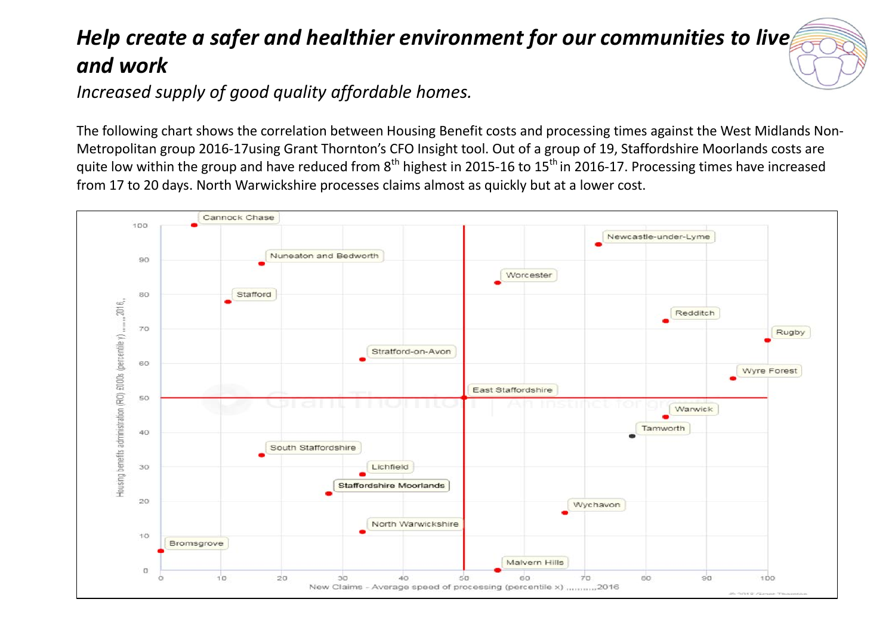## *Help create a safer and healthier environment for our communities to live and work*

*Increased supply of good quality affordable homes.*

The following chart shows the correlation between Housing Benefit costs and processing times against the West Midlands Non-Metropolitan group 2016-17using Grant Thornton's CFO Insight tool. Out of a group of 19, Staffordshire Moorlands costs are quite low within the group and have reduced from  $8<sup>th</sup>$  highest in 2015-16 to 15<sup>th</sup> in 2016-17. Processing times have increased from 17 to 20 days. North Warwickshire processes claims almost as quickly but at a lower cost.

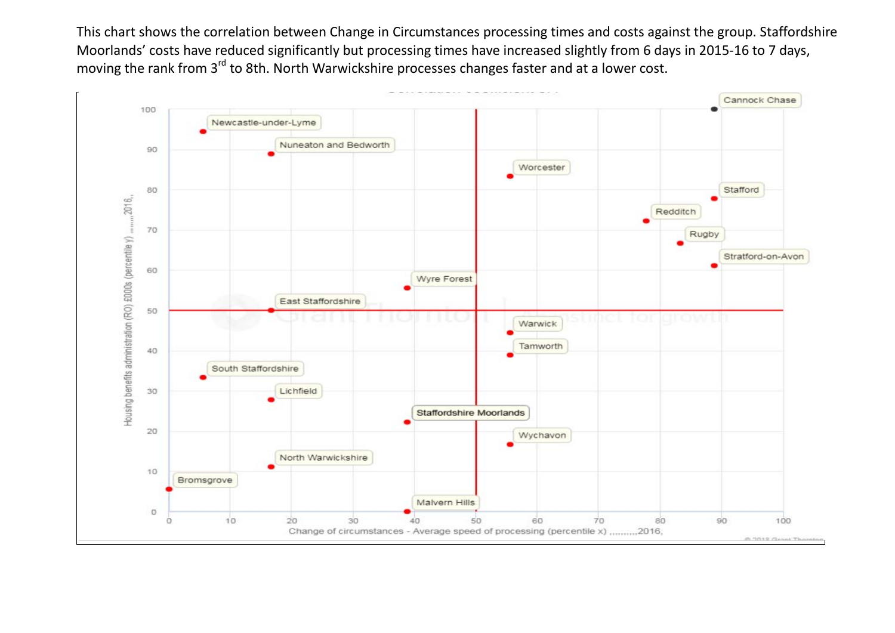This chart shows the correlation between Change in Circumstances processing times and costs against the group. Staffordshire Moorlands' costs have reduced significantly but processing times have increased slightly from 6 days in 2015-16 to 7 days, moving the rank from 3<sup>rd</sup> to 8th. North Warwickshire processes changes faster and at a lower cost.

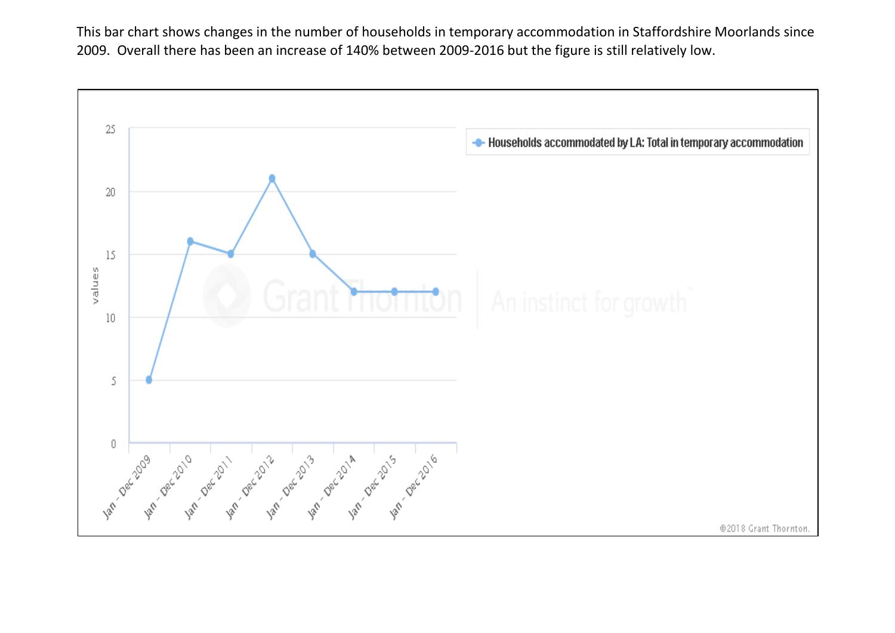This bar chart shows changes in the number of households in temporary accommodation in Staffordshire Moorlands since 2009. Overall there has been an increase of 140% between 2009-2016 but the figure is still relatively low.

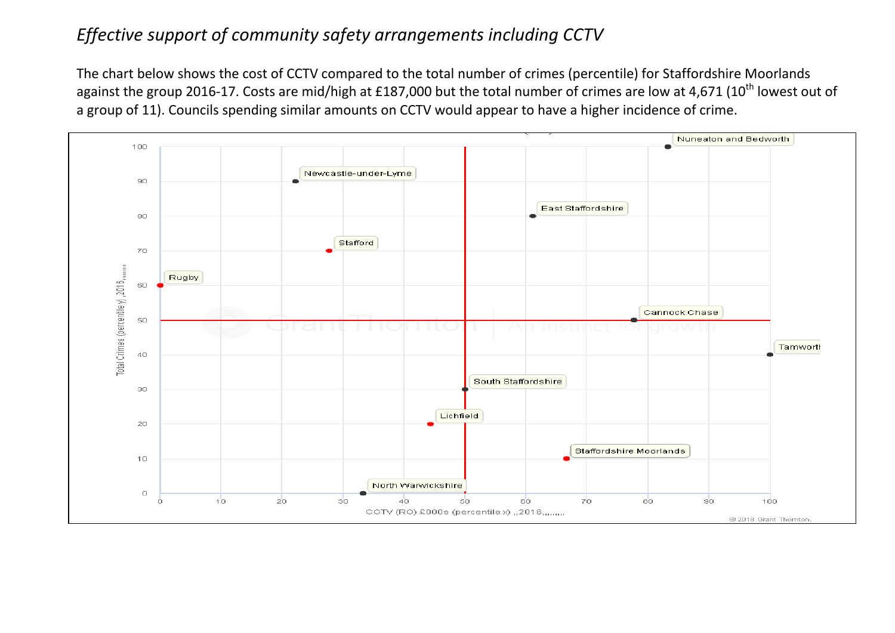## *Effective support of community safety arrangements including CCTV*

The chart below shows the cost of CCTV compared to the total number of crimes (percentile) for Staffordshire Moorlands against the group 2016-17. Costs are mid/high at £187,000 but the total number of crimes are low at 4,671 (10<sup>th</sup> lowest out of a group of 11). Councils spending similar amounts on CCTV would appear to have a higher incidence of crime.

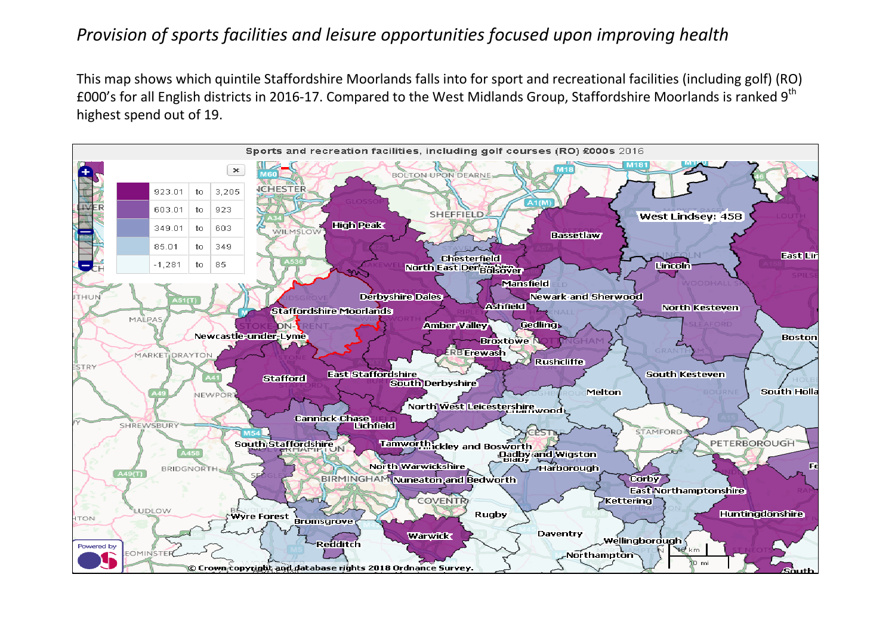## *Provision of sports facilities and leisure opportunities focused upon improving health*

This map shows which quintile Staffordshire Moorlands falls into for sport and recreational facilities (including golf) (RO) £000's for all English districts in 2016-17. Compared to the West Midlands Group, Staffordshire Moorlands is ranked 9<sup>th</sup> highest spend out of 19.

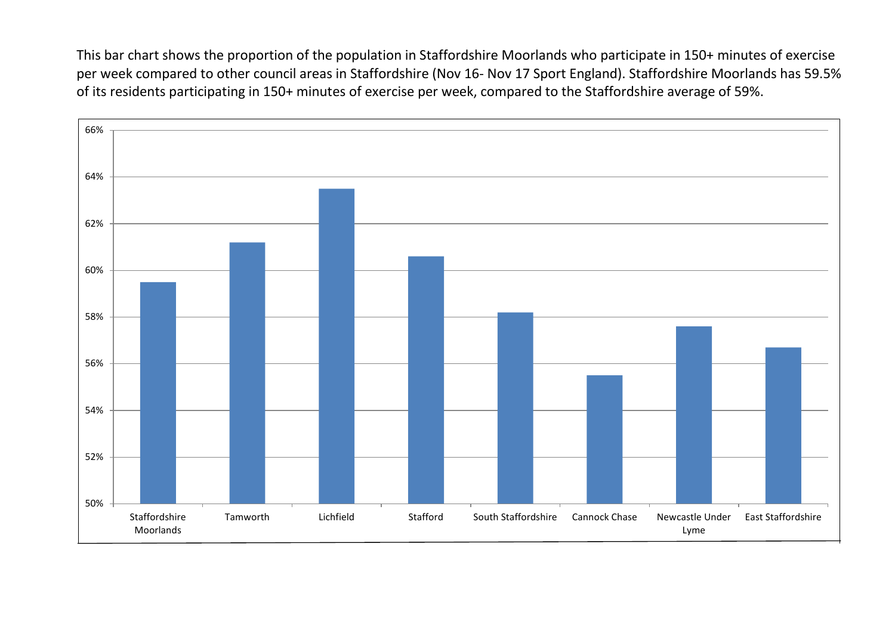This bar chart shows the proportion of the population in Staffordshire Moorlands who participate in 150+ minutes of exercise per week compared to other council areas in Staffordshire (Nov 16- Nov 17 Sport England). Staffordshire Moorlands has 59.5% of its residents participating in 150+ minutes of exercise per week, compared to the Staffordshire average of 59%.

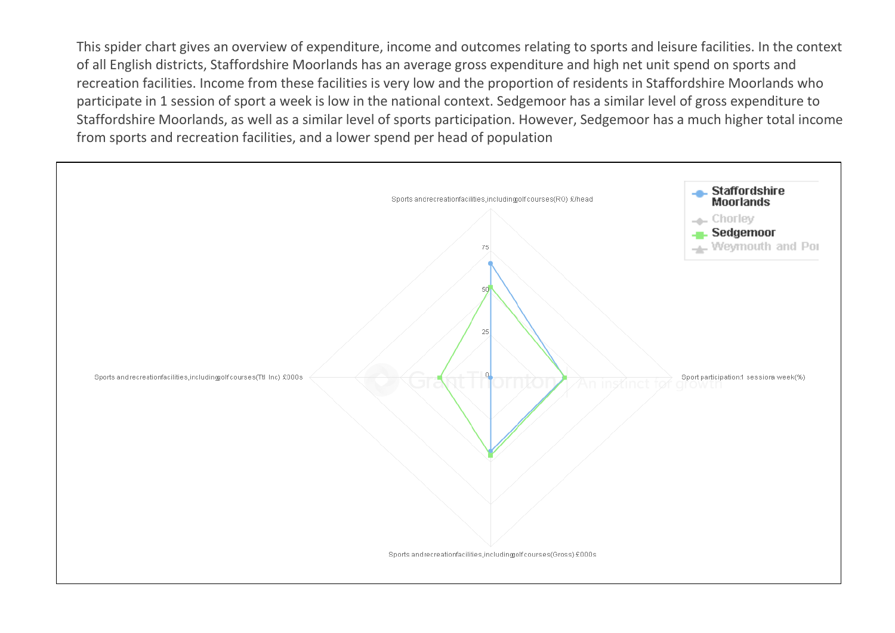This spider chart gives an overview of expenditure, income and outcomes relating to sports and leisure facilities. In the context of all English districts, Staffordshire Moorlands has an average gross expenditure and high net unit spend on sports and recreation facilities. Income from these facilities is very low and the proportion of residents in Staffordshire Moorlands who participate in 1 session of sport a week is low in the national context. Sedgemoor has a similar level of gross expenditure to Staffordshire Moorlands, as well as a similar level of sports participation. However, Sedgemoor has a much higher total income from sports and recreation facilities, and a lower spend per head of population

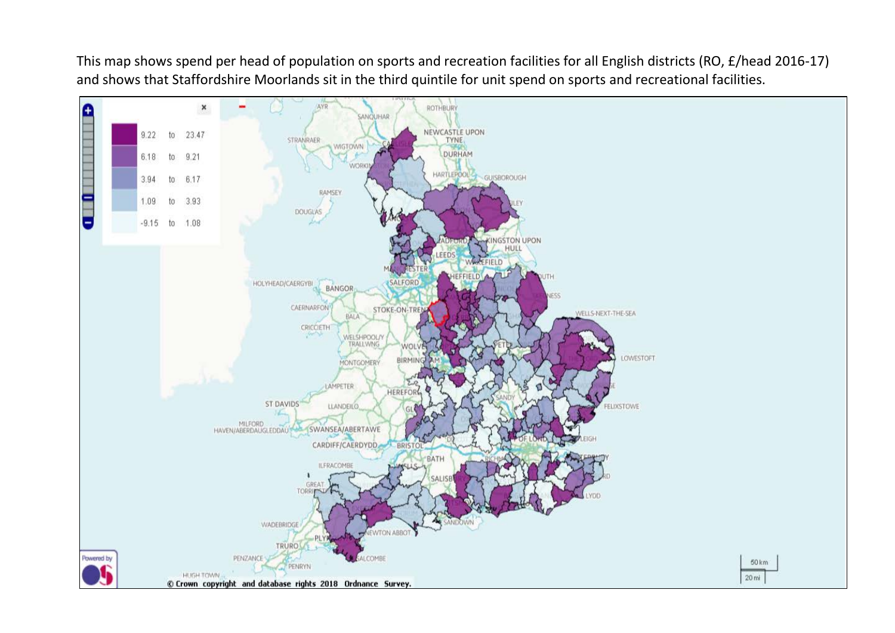This map shows spend per head of population on sports and recreation facilities for all English districts (RO, £/head 2016-17) and shows that Staffordshire Moorlands sit in the third quintile for unit spend on sports and recreational facilities.